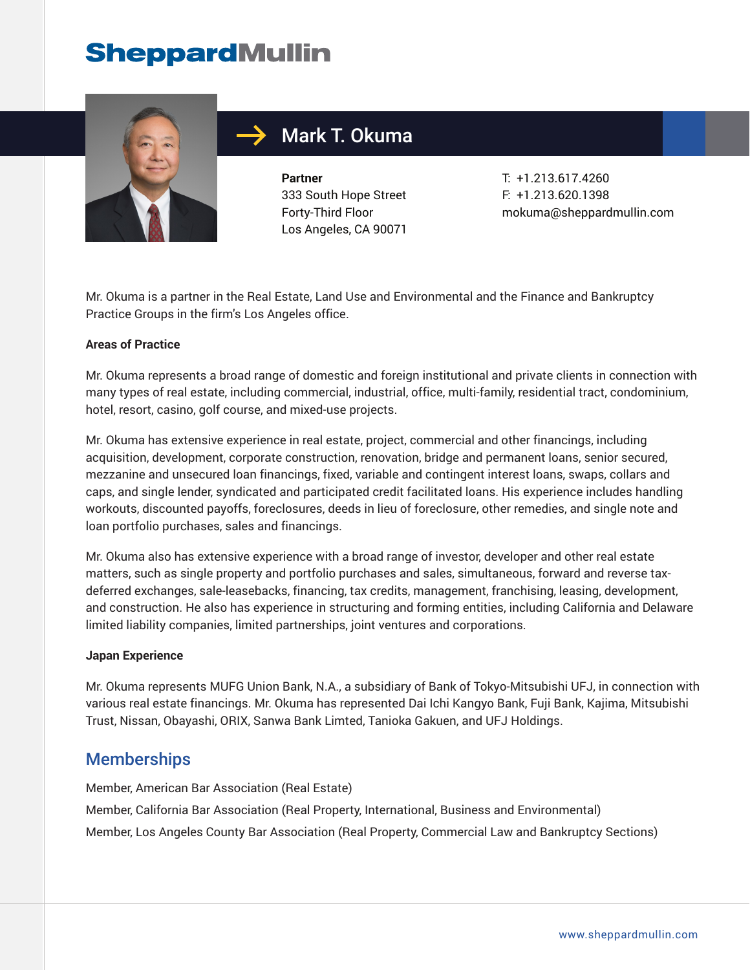# **SheppardMullin**



# Mark T. Okuma

**Partner** 333 South Hope Street Forty-Third Floor Los Angeles, CA 90071

T: +1.213.617.4260 F: +1.213.620.1398 mokuma@sheppardmullin.com

Mr. Okuma is a partner in the Real Estate, Land Use and Environmental and the Finance and Bankruptcy Practice Groups in the firm's Los Angeles office.

#### **Areas of Practice**

Mr. Okuma represents a broad range of domestic and foreign institutional and private clients in connection with many types of real estate, including commercial, industrial, office, multi-family, residential tract, condominium, hotel, resort, casino, golf course, and mixed-use projects.

Mr. Okuma has extensive experience in real estate, project, commercial and other financings, including acquisition, development, corporate construction, renovation, bridge and permanent loans, senior secured, mezzanine and unsecured loan financings, fixed, variable and contingent interest loans, swaps, collars and caps, and single lender, syndicated and participated credit facilitated loans. His experience includes handling workouts, discounted payoffs, foreclosures, deeds in lieu of foreclosure, other remedies, and single note and loan portfolio purchases, sales and financings.

Mr. Okuma also has extensive experience with a broad range of investor, developer and other real estate matters, such as single property and portfolio purchases and sales, simultaneous, forward and reverse taxdeferred exchanges, sale-leasebacks, financing, tax credits, management, franchising, leasing, development, and construction. He also has experience in structuring and forming entities, including California and Delaware limited liability companies, limited partnerships, joint ventures and corporations.

#### **Japan Experience**

Mr. Okuma represents MUFG Union Bank, N.A., a subsidiary of Bank of Tokyo-Mitsubishi UFJ, in connection with various real estate financings. Mr. Okuma has represented Dai Ichi Kangyo Bank, Fuji Bank, Kajima, Mitsubishi Trust, Nissan, Obayashi, ORIX, Sanwa Bank Limted, Tanioka Gakuen, and UFJ Holdings.

#### Memberships

Member, American Bar Association (Real Estate) Member, California Bar Association (Real Property, International, Business and Environmental) Member, Los Angeles County Bar Association (Real Property, Commercial Law and Bankruptcy Sections)